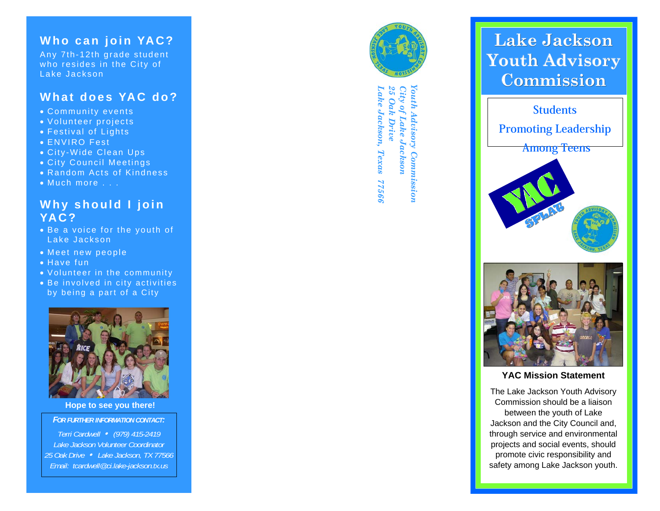### **Who can join YAC?**

Any 7th-12th grade student who resides in the City of Lake Jackson

### **What does YAC do?**

- Community events
- Volunteer projects
- Festival of Lights
- ENVIRO Fest
- City-Wide Clean Ups
- City Council Meetings
- Random Acts of Kindness
- Much more . . .

### **Why should I join YAC?**

- Be a voice for the youth of Lake Jackson
- Meet new people
- Have fun
- Volunteer in the community
- Be involved in city activities by being a part of a City



**Hope to see you there!** 

*FOR FURTHER INFORMATION CONTACT:* 

*Terri Cardwell* y *(979) 415-2419 Lake Jackson Volunteer Coordinator 25 Oak Drive* y *Lake Jackson, TX 77566 Email: tcardwell@ci.lake-jackson.tx.us*



 *Lake Jackson, Texas 77566 25 Oak Drive City of Lake Jackson Youth Advisory Commission*  City of Lake Jackson ake Jackson, Advisory Commission Texas 99911

## **Lake Jackson Youth Advisory Commission**



#### **YAC Mission Statement**

The Lake Jackson Youth Advisory Commission should be a liaison between the youth of Lake Jackson and the City Council and, through service and environmental projects and social events, should promote civic responsibility and safety among Lake Jackson youth.